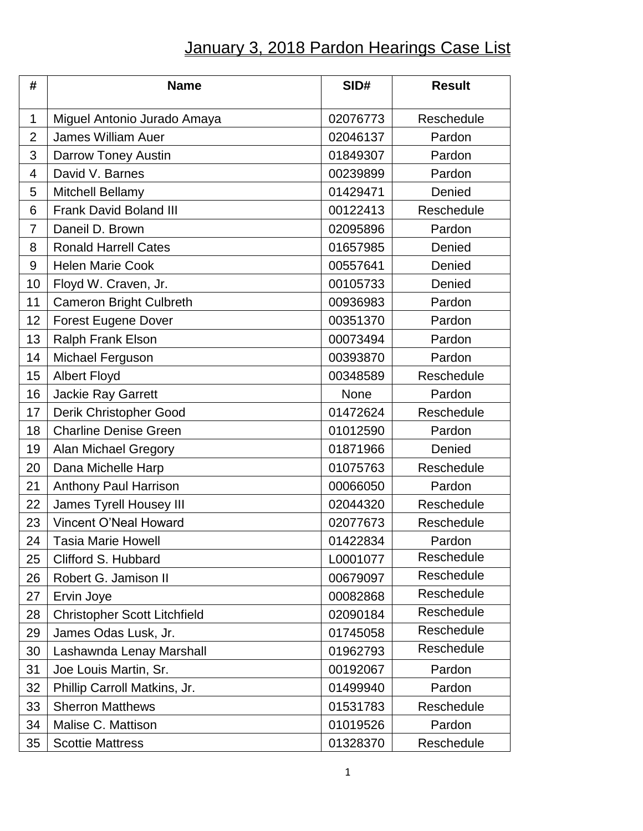## January 3, 2018 Pardon Hearings Case List

| #              | <b>Name</b>                         | SID#     | <b>Result</b> |
|----------------|-------------------------------------|----------|---------------|
| 1              | Miguel Antonio Jurado Amaya         | 02076773 | Reschedule    |
| $\overline{2}$ | <b>James William Auer</b>           | 02046137 | Pardon        |
| 3              | Darrow Toney Austin                 | 01849307 | Pardon        |
| 4              | David V. Barnes                     | 00239899 | Pardon        |
| 5              | Mitchell Bellamy                    | 01429471 | Denied        |
| 6              | <b>Frank David Boland III</b>       | 00122413 | Reschedule    |
| $\overline{7}$ | Daneil D. Brown                     | 02095896 | Pardon        |
| 8              | <b>Ronald Harrell Cates</b>         | 01657985 | Denied        |
| 9              | <b>Helen Marie Cook</b>             | 00557641 | Denied        |
| 10             | Floyd W. Craven, Jr.                | 00105733 | Denied        |
| 11             | <b>Cameron Bright Culbreth</b>      | 00936983 | Pardon        |
| 12             | <b>Forest Eugene Dover</b>          | 00351370 | Pardon        |
| 13             | Ralph Frank Elson                   | 00073494 | Pardon        |
| 14             | Michael Ferguson                    | 00393870 | Pardon        |
| 15             | <b>Albert Floyd</b>                 | 00348589 | Reschedule    |
| 16             | <b>Jackie Ray Garrett</b>           | None     | Pardon        |
| 17             | Derik Christopher Good              | 01472624 | Reschedule    |
| 18             | <b>Charline Denise Green</b>        | 01012590 | Pardon        |
| 19             | <b>Alan Michael Gregory</b>         | 01871966 | Denied        |
| 20             | Dana Michelle Harp                  | 01075763 | Reschedule    |
| 21             | Anthony Paul Harrison               | 00066050 | Pardon        |
| 22             | James Tyrell Housey III             | 02044320 | Reschedule    |
| 23             | Vincent O'Neal Howard               | 02077673 | Reschedule    |
| 24             | <b>Tasia Marie Howell</b>           | 01422834 | Pardon        |
| 25             | Clifford S. Hubbard                 | L0001077 | Reschedule    |
| 26             | Robert G. Jamison II                | 00679097 | Reschedule    |
| 27             | Ervin Joye                          | 00082868 | Reschedule    |
| 28             | <b>Christopher Scott Litchfield</b> | 02090184 | Reschedule    |
| 29             | James Odas Lusk, Jr.                | 01745058 | Reschedule    |
| 30             | Lashawnda Lenay Marshall            | 01962793 | Reschedule    |
| 31             | Joe Louis Martin, Sr.               | 00192067 | Pardon        |
| 32             | Phillip Carroll Matkins, Jr.        | 01499940 | Pardon        |
| 33             | <b>Sherron Matthews</b>             | 01531783 | Reschedule    |
| 34             | Malise C. Mattison                  | 01019526 | Pardon        |
| 35             | <b>Scottie Mattress</b>             | 01328370 | Reschedule    |